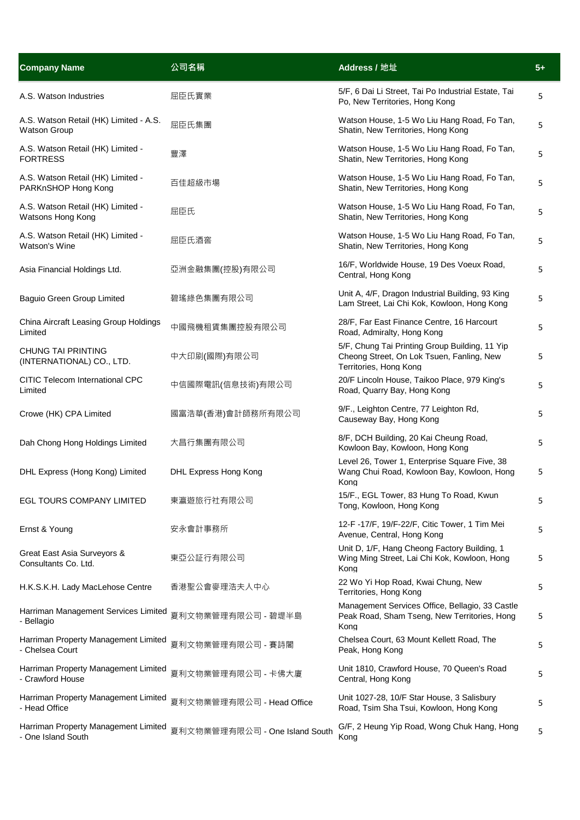| <b>Company Name</b>                                           | 公司名稱                           | Address / 地址                                                                                                          | $5+$ |
|---------------------------------------------------------------|--------------------------------|-----------------------------------------------------------------------------------------------------------------------|------|
| A.S. Watson Industries                                        | 屈臣氏實業                          | 5/F, 6 Dai Li Street, Tai Po Industrial Estate, Tai<br>Po, New Territories, Hong Kong                                 | 5    |
| A.S. Watson Retail (HK) Limited - A.S.<br><b>Watson Group</b> | 屈臣氏集團                          | Watson House, 1-5 Wo Liu Hang Road, Fo Tan,<br>Shatin, New Territories, Hong Kong                                     | 5    |
| A.S. Watson Retail (HK) Limited -<br><b>FORTRESS</b>          | 豐澤                             | Watson House, 1-5 Wo Liu Hang Road, Fo Tan,<br>Shatin, New Territories, Hong Kong                                     | 5    |
| A.S. Watson Retail (HK) Limited -<br>PARKnSHOP Hong Kong      | 百佳超級市場                         | Watson House, 1-5 Wo Liu Hang Road, Fo Tan,<br>Shatin, New Territories, Hong Kong                                     | 5    |
| A.S. Watson Retail (HK) Limited -<br>Watsons Hong Kong        | 屈臣氏                            | Watson House, 1-5 Wo Liu Hang Road, Fo Tan,<br>Shatin, New Territories, Hong Kong                                     | 5    |
| A.S. Watson Retail (HK) Limited -<br>Watson's Wine            | 屈臣氏酒窖                          | Watson House, 1-5 Wo Liu Hang Road, Fo Tan,<br>Shatin, New Territories, Hong Kong                                     | 5    |
| Asia Financial Holdings Ltd.                                  | 亞洲金融集團(控股)有限公司                 | 16/F, Worldwide House, 19 Des Voeux Road,<br>Central, Hong Kong                                                       | 5    |
| <b>Baguio Green Group Limited</b>                             | 碧瑤綠色集團有限公司                     | Unit A, 4/F, Dragon Industrial Building, 93 King<br>Lam Street, Lai Chi Kok, Kowloon, Hong Kong                       | 5    |
| China Aircraft Leasing Group Holdings<br>Limited              | 中國飛機租賃集團控股有限公司                 | 28/F, Far East Finance Centre, 16 Harcourt<br>Road, Admiralty, Hong Kong                                              | 5    |
| <b>CHUNG TAI PRINTING</b><br>(INTERNATIONAL) CO., LTD.        | 中大印刷(國際)有限公司                   | 5/F, Chung Tai Printing Group Building, 11 Yip<br>Cheong Street, On Lok Tsuen, Fanling, New<br>Territories, Hong Kong | 5    |
| <b>CITIC Telecom International CPC</b><br>Limited             | 中信國際電訊(信息技術)有限公司               | 20/F Lincoln House, Taikoo Place, 979 King's<br>Road, Quarry Bay, Hong Kong                                           | 5    |
| Crowe (HK) CPA Limited                                        | 國富浩華(香港)會計師務所有限公司              | 9/F., Leighton Centre, 77 Leighton Rd,<br>Causeway Bay, Hong Kong                                                     | 5    |
| Dah Chong Hong Holdings Limited                               | 大昌行集團有限公司                      | 8/F, DCH Building, 20 Kai Cheung Road,<br>Kowloon Bay, Kowloon, Hong Kong                                             | 5    |
| DHL Express (Hong Kong) Limited                               | DHL Express Hong Kong          | Level 26, Tower 1, Enterprise Square Five, 38<br>Wang Chui Road, Kowloon Bay, Kowloon, Hong<br>Kong                   | 5    |
| <b>EGL TOURS COMPANY LIMITED</b>                              | 東瀛遊旅行社有限公司                     | 15/F., EGL Tower, 83 Hung To Road, Kwun<br>Tong, Kowloon, Hong Kong                                                   | 5    |
| Ernst & Young                                                 | 安永會計事務所                        | 12-F -17/F, 19/F-22/F, Citic Tower, 1 Tim Mei<br>Avenue, Central, Hong Kong                                           | 5    |
| Great East Asia Surveyors &<br>Consultants Co. Ltd.           | 東亞公証行有限公司                      | Unit D, 1/F, Hang Cheong Factory Building, 1<br>Wing Ming Street, Lai Chi Kok, Kowloon, Hong<br>Kong                  | 5    |
| H.K.S.K.H. Lady MacLehose Centre                              | 香港聖公會麥理浩夫人中心                   | 22 Wo Yi Hop Road, Kwai Chung, New<br>Territories, Hong Kong                                                          | 5    |
| Harriman Management Services Limited<br>- Bellagio            | 夏利文物業管理有限公司 - 碧堤半島             | Management Services Office, Bellagio, 33 Castle<br>Peak Road, Sham Tseng, New Territories, Hong<br>Kong               | 5    |
| Harriman Property Management Limited<br>- Chelsea Court       | 夏利文物業管理有限公司 - 賽詩閣              | Chelsea Court, 63 Mount Kellett Road, The<br>Peak, Hong Kong                                                          | 5    |
| Harriman Property Management Limited<br>- Crawford House      | 夏利文物業管理有限公司 - 卡佛大廈             | Unit 1810, Crawford House, 70 Queen's Road<br>Central, Hong Kong                                                      | 5    |
| Harriman Property Management Limited<br>- Head Office         | 夏利文物業管理有限公司 - Head Office      | Unit 1027-28, 10/F Star House, 3 Salisbury<br>Road, Tsim Sha Tsui, Kowloon, Hong Kong                                 | 5    |
| Harriman Property Management Limited<br>- One Island South    | 夏利文物業管理有限公司 - One Island South | G/F, 2 Heung Yip Road, Wong Chuk Hang, Hong<br>Kong                                                                   | 5    |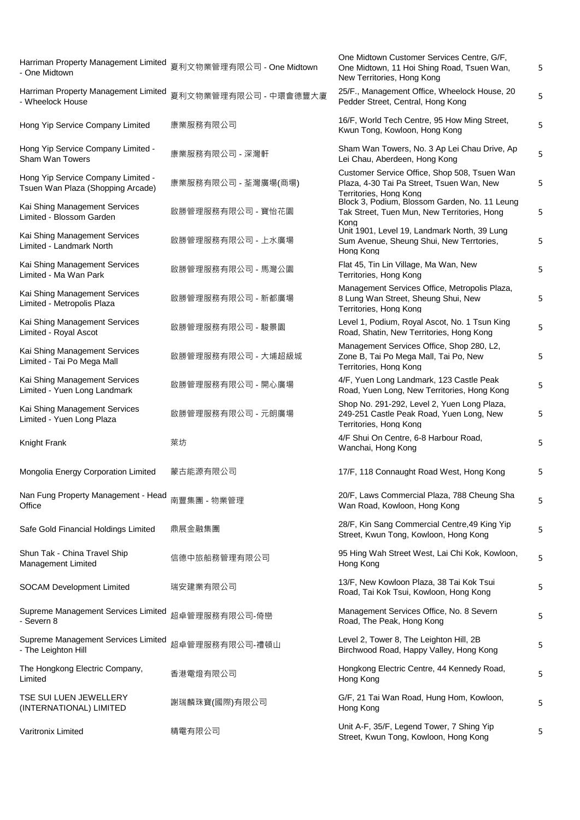| Harriman Property Management Limited<br>- One Midtown                   | 夏利文物業管理有限公司 - One Midtown | One Midtown Customer Services Centre, G/F,<br>One Midtown, 11 Hoi Shing Road, Tsuen Wan,<br>New Territories, Hong Kong | 5 |
|-------------------------------------------------------------------------|---------------------------|------------------------------------------------------------------------------------------------------------------------|---|
| Harriman Property Management Limited<br>- Wheelock House                | 夏利文物業管理有限公司 - 中環會德豐大廈     | 25/F., Management Office, Wheelock House, 20<br>Pedder Street, Central, Hong Kong                                      | 5 |
| Hong Yip Service Company Limited                                        | 康業服務有限公司                  | 16/F, World Tech Centre, 95 How Ming Street,<br>Kwun Tong, Kowloon, Hong Kong                                          | 5 |
| Hong Yip Service Company Limited -<br>Sham Wan Towers                   | 康業服務有限公司 - 深灣軒            | Sham Wan Towers, No. 3 Ap Lei Chau Drive, Ap<br>Lei Chau, Aberdeen, Hong Kong                                          | 5 |
| Hong Yip Service Company Limited -<br>Tsuen Wan Plaza (Shopping Arcade) | 康業服務有限公司 - 荃灣廣場(商場)       | Customer Service Office, Shop 508, Tsuen Wan<br>Plaza, 4-30 Tai Pa Street, Tsuen Wan, New<br>Territories, Hong Kong    | 5 |
| Kai Shing Management Services<br>Limited - Blossom Garden               | 啟勝管理服務有限公司 - 寶怡花園         | Block 3, Podium, Blossom Garden, No. 11 Leung<br>Tak Street, Tuen Mun, New Territories, Hong<br>Kona                   | 5 |
| Kai Shing Management Services<br>Limited - Landmark North               | 啟勝管理服務有限公司 - 上水廣場         | Unit 1901, Level 19, Landmark North, 39 Lung<br>Sum Avenue, Sheung Shui, New Terrtories,<br>Hong Kong                  | 5 |
| Kai Shing Management Services<br>Limited - Ma Wan Park                  | 啟勝管理服務有限公司 - 馬灣公園         | Flat 45, Tin Lin Village, Ma Wan, New<br>Territories, Hong Kong                                                        | 5 |
| Kai Shing Management Services<br>Limited - Metropolis Plaza             | 啟勝管理服務有限公司 - 新都廣場         | Management Services Office, Metropolis Plaza,<br>8 Lung Wan Street, Sheung Shui, New<br>Territories, Hong Kong         | 5 |
| Kai Shing Management Services<br>Limited - Royal Ascot                  | 啟勝管理服務有限公司 - 駿景園          | Level 1, Podium, Royal Ascot, No. 1 Tsun King<br>Road, Shatin, New Territories, Hong Kong                              | 5 |
| Kai Shing Management Services<br>Limited - Tai Po Mega Mall             | 啟勝管理服務有限公司 - 大埔超級城        | Management Services Office, Shop 280, L2,<br>Zone B, Tai Po Mega Mall, Tai Po, New<br>Territories, Hong Kong           | 5 |
| Kai Shing Management Services<br>Limited - Yuen Long Landmark           | 啟勝管理服務有限公司 - 開心廣場         | 4/F, Yuen Long Landmark, 123 Castle Peak<br>Road, Yuen Long, New Territories, Hong Kong                                | 5 |
| Kai Shing Management Services<br>Limited - Yuen Long Plaza              | 啟勝管理服務有限公司 - 元朗廣場         | Shop No. 291-292, Level 2, Yuen Long Plaza,<br>249-251 Castle Peak Road, Yuen Long, New<br>Territories, Hong Kong      | 5 |
| Knight Frank                                                            | 萊坊                        | 4/F Shui On Centre, 6-8 Harbour Road,<br>Wanchai, Hong Kong                                                            | 5 |
| Mongolia Energy Corporation Limited                                     | 蒙古能源有限公司                  | 17/F, 118 Connaught Road West, Hong Kong                                                                               | 5 |
| Nan Fung Property Management - Head<br>Office                           | 南豐集團 - 物業管理               | 20/F, Laws Commercial Plaza, 788 Cheung Sha<br>Wan Road, Kowloon, Hong Kong                                            | 5 |
| Safe Gold Financial Holdings Limited                                    | 鼎展金融集團                    | 28/F, Kin Sang Commercial Centre, 49 King Yip<br>Street, Kwun Tong, Kowloon, Hong Kong                                 | 5 |
| Shun Tak - China Travel Ship<br>Management Limited                      | 信德中旅船務管理有限公司              | 95 Hing Wah Street West, Lai Chi Kok, Kowloon,<br>Hong Kong                                                            | 5 |
| <b>SOCAM Development Limited</b>                                        | 瑞安建業有限公司                  | 13/F, New Kowloon Plaza, 38 Tai Kok Tsui<br>Road, Tai Kok Tsui, Kowloon, Hong Kong                                     | 5 |
| Supreme Management Services Limited<br>- Severn 8                       | 超卓管理服務有限公司-倚巒             | Management Services Office, No. 8 Severn<br>Road, The Peak, Hong Kong                                                  | 5 |
| Supreme Management Services Limited<br>- The Leighton Hill              | 超卓管理服務有限公司-禮頓山            | Level 2, Tower 8, The Leighton Hill, 2B<br>Birchwood Road, Happy Valley, Hong Kong                                     | 5 |
| The Hongkong Electric Company,<br>Limited                               | 香港電燈有限公司                  | Hongkong Electric Centre, 44 Kennedy Road,<br>Hong Kong                                                                | 5 |
| TSE SUI LUEN JEWELLERY<br>(INTERNATIONAL) LIMITED                       | 謝瑞麟珠寶(國際)有限公司             | G/F, 21 Tai Wan Road, Hung Hom, Kowloon,<br>Hong Kong                                                                  | 5 |
| Varitronix Limited                                                      | 精電有限公司                    | Unit A-F, 35/F, Legend Tower, 7 Shing Yip<br>Street, Kwun Tong, Kowloon, Hong Kong                                     | 5 |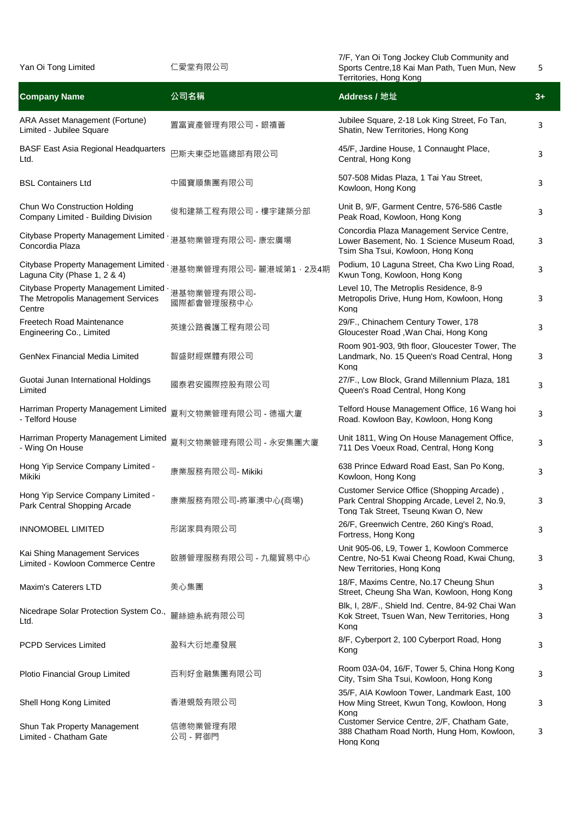| Yan Oi Tong Limited                                                                  | 仁愛堂有限公司                   | 7/F, Yan Oi Tong Jockey Club Community and<br>Sports Centre, 18 Kai Man Path, Tuen Mun, New<br>Territories, Hong Kong             | 5    |
|--------------------------------------------------------------------------------------|---------------------------|-----------------------------------------------------------------------------------------------------------------------------------|------|
| <b>Company Name</b>                                                                  | 公司名稱                      | Address / 地址                                                                                                                      | $3+$ |
| ARA Asset Management (Fortune)<br>Limited - Jubilee Square                           | 置富資產管理有限公司 - 銀禧薈          | Jubilee Square, 2-18 Lok King Street, Fo Tan,<br>Shatin, New Territories, Hong Kong                                               | 3    |
| <b>BASF East Asia Regional Headquarters</b><br>Ltd.                                  | 巴斯夫東亞地區總部有限公司             | 45/F, Jardine House, 1 Connaught Place,<br>Central, Hong Kong                                                                     | 3    |
| <b>BSL Containers Ltd</b>                                                            | 中國寶順集團有限公司                | 507-508 Midas Plaza, 1 Tai Yau Street,<br>Kowloon, Hong Kong                                                                      | 3    |
| Chun Wo Construction Holding<br>Company Limited - Building Division                  | 俊和建築工程有限公司 - 樓宇建築分部       | Unit B, 9/F, Garment Centre, 576-586 Castle<br>Peak Road, Kowloon, Hong Kong                                                      | 3    |
| Citybase Property Management Limited .<br>Concordia Plaza                            | 港基物業管理有限公司-康宏廣場           | Concordia Plaza Management Service Centre,<br>Lower Basement, No. 1 Science Museum Road,<br>Tsim Sha Tsui, Kowloon, Hong Kong     | 3    |
| Citybase Property Management Limited .<br>Laguna City (Phase 1, 2 & 4)               | 港基物業管理有限公司-麗港城第1,2及4期     | Podium, 10 Laguna Street, Cha Kwo Ling Road,<br>Kwun Tong, Kowloon, Hong Kong                                                     | 3    |
| Citybase Property Management Limited<br>The Metropolis Management Services<br>Centre | 港基物業管理有限公司-<br>國際都會管理服務中心 | Level 10, The Metroplis Residence, 8-9<br>Metropolis Drive, Hung Hom, Kowloon, Hong<br>Kong                                       | 3    |
| Freetech Road Maintenance<br>Engineering Co., Limited                                | 英達公路養護工程有限公司              | 29/F., Chinachem Century Tower, 178<br>Gloucester Road, Wan Chai, Hong Kong                                                       | 3    |
| GenNex Financial Media Limited                                                       | 智盛財經媒體有限公司                | Room 901-903, 9th floor, Gloucester Tower, The<br>Landmark, No. 15 Queen's Road Central, Hong<br>Kona                             | 3    |
| Guotai Junan International Holdings<br>Limited                                       | 國泰君安國際控股有限公司              | 27/F., Low Block, Grand Millennium Plaza, 181<br>Queen's Road Central, Hong Kong                                                  | 3    |
| Harriman Property Management Limited<br>- Telford House                              | 夏利文物業管理有限公司 - 德福大廈        | Telford House Management Office, 16 Wang hoi<br>Road. Kowloon Bay, Kowloon, Hong Kong                                             | 3    |
| Harriman Property Management Limited<br>- Wing On House                              | 夏利文物業管理有限公司 - 永安集團大廈      | Unit 1811, Wing On House Management Office,<br>711 Des Voeux Road, Central, Hong Kong                                             | 3    |
| Hong Yip Service Company Limited -<br>Mikiki                                         | 康業服務有限公司 - Mikiki         | 638 Prince Edward Road East, San Po Kong,<br>Kowloon, Hong Kong                                                                   | 3    |
| Hong Yip Service Company Limited -<br>Park Central Shopping Arcade                   | 康業服務有限公司-將軍澳中心(商場)        | Customer Service Office (Shopping Arcade),<br>Park Central Shopping Arcade, Level 2, No.9,<br>Tong Tak Street, Tseung Kwan O, New | 3    |
| INNOMOBEL LIMITED                                                                    | 形諾家具有限公司                  | 26/F, Greenwich Centre, 260 King's Road,<br>Fortress, Hong Kong                                                                   | 3    |
| Kai Shing Management Services<br>Limited - Kowloon Commerce Centre                   | 啟勝管理服務有限公司 - 九龍貿易中心       | Unit 905-06, L9, Tower 1, Kowloon Commerce<br>Centre, No-51 Kwai Cheong Road, Kwai Chung,<br>New Territories, Hong Kong           | 3    |
| Maxim's Caterers LTD                                                                 | 美心集團                      | 18/F, Maxims Centre, No.17 Cheung Shun<br>Street, Cheung Sha Wan, Kowloon, Hong Kong                                              | 3    |
| Nicedrape Solar Protection System Co.,<br>Ltd.                                       | 麗絲迪系統有限公司                 | Blk, I, 28/F., Shield Ind. Centre, 84-92 Chai Wan<br>Kok Street, Tsuen Wan, New Territories, Hong<br>Kong                         | 3    |
| <b>PCPD Services Limited</b>                                                         | 盈科大衍地產發展                  | 8/F, Cyberport 2, 100 Cyberport Road, Hong<br>Kong                                                                                | 3    |
| Plotio Financial Group Limited                                                       | 百利好金融集團有限公司               | Room 03A-04, 16/F, Tower 5, China Hong Kong<br>City, Tsim Sha Tsui, Kowloon, Hong Kong                                            | 3    |
| Shell Hong Kong Limited                                                              | 香港蜆殼有限公司                  | 35/F, AIA Kowloon Tower, Landmark East, 100<br>How Ming Street, Kwun Tong, Kowloon, Hong<br>Kona                                  | 3    |
| Shun Tak Property Management<br>Limited - Chatham Gate                               | 信德物業管理有限<br>公司 - 昇御門      | Customer Service Centre, 2/F, Chatham Gate,<br>388 Chatham Road North, Hung Hom, Kowloon,<br>Hong Kong                            | 3    |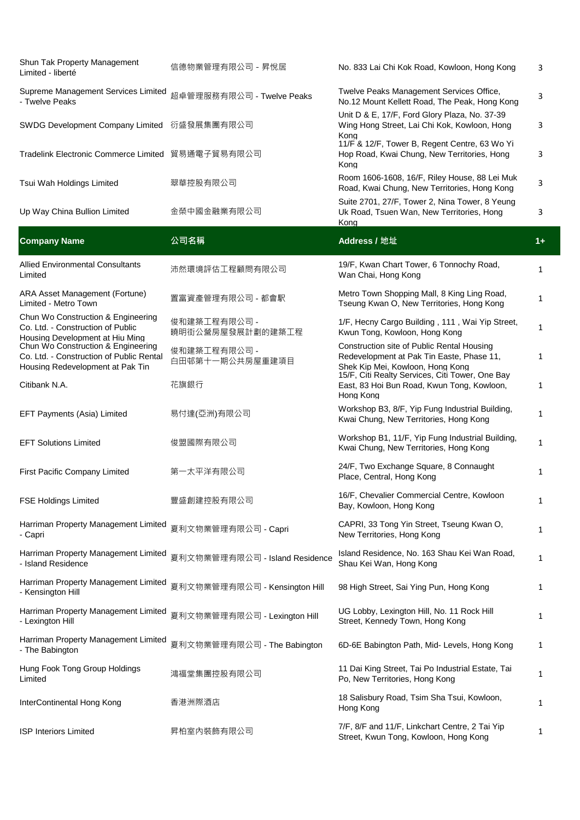| Shun Tak Property Management<br>Limited - liberté                                                                  | 信德物業管理有限公司 - 昇悅居                 | No. 833 Lai Chi Kok Road, Kowloon, Hong Kong                                                                                | 3            |
|--------------------------------------------------------------------------------------------------------------------|----------------------------------|-----------------------------------------------------------------------------------------------------------------------------|--------------|
| Supreme Management Services Limited<br>- Twelve Peaks                                                              | 超卓管理服務有限公司 - Twelve Peaks        | Twelve Peaks Management Services Office,<br>No.12 Mount Kellett Road, The Peak, Hong Kong                                   | 3            |
| SWDG Development Company Limited 衍盛發展集團有限公司                                                                        |                                  | Unit D & E, 17/F, Ford Glory Plaza, No. 37-39<br>Wing Hong Street, Lai Chi Kok, Kowloon, Hong<br>Kona                       | 3            |
| Tradelink Electronic Commerce Limited 貿易通電子貿易有限公司                                                                  |                                  | 11/F & 12/F, Tower B, Regent Centre, 63 Wo Yi<br>Hop Road, Kwai Chung, New Territories, Hong<br>Kong                        | 3            |
| Tsui Wah Holdings Limited                                                                                          | 翠華控股有限公司                         | Room 1606-1608, 16/F, Riley House, 88 Lei Muk<br>Road, Kwai Chung, New Territories, Hong Kong                               | 3            |
| Up Way China Bullion Limited                                                                                       | 金榮中國金融業有限公司                      | Suite 2701, 27/F, Tower 2, Nina Tower, 8 Yeung<br>Uk Road, Tsuen Wan, New Territories, Hong<br>Kong                         | 3            |
| <b>Company Name</b>                                                                                                | 公司名稱                             | Address / 地址                                                                                                                | $1+$         |
| <b>Allied Environmental Consultants</b><br>Limited                                                                 | 沛然環境評估工程顧問有限公司                   | 19/F, Kwan Chart Tower, 6 Tonnochy Road,<br>Wan Chai, Hong Kong                                                             | 1            |
| ARA Asset Management (Fortune)<br>Limited - Metro Town                                                             | 置富資產管理有限公司 - 都會駅                 | Metro Town Shopping Mall, 8 King Ling Road,<br>Tseung Kwan O, New Territories, Hong Kong                                    | $\mathbf{1}$ |
| Chun Wo Construction & Engineering<br>Co. Ltd. - Construction of Public<br>Housing Development at Hiu Ming         | 俊和建築工程有限公司 -<br>曉明街公營房屋發展計劃的建築工程 | 1/F, Hecny Cargo Building, 111, Wai Yip Street,<br>Kwun Tong, Kowloon, Hong Kong                                            | 1            |
| Chun Wo Construction & Engineering<br>Co. Ltd. - Construction of Public Rental<br>Housing Redevelopment at Pak Tin | 俊和建築工程有限公司 -<br>白田邨第十一期公共房屋重建項目  | Construction site of Public Rental Housing<br>Redevelopment at Pak Tin Easte, Phase 11,<br>Shek Kip Mei, Kowloon, Hong Kong | 1            |
| Citibank N.A.                                                                                                      | 花旗銀行                             | 15/F, Citi Realty Services, Citi Tower, One Bay<br>East, 83 Hoi Bun Road, Kwun Tong, Kowloon,<br>Hong Kong                  | 1            |
| EFT Payments (Asia) Limited                                                                                        | 易付達(亞洲)有限公司                      | Workshop B3, 8/F, Yip Fung Industrial Building,<br>Kwai Chung, New Territories, Hong Kong                                   | 1            |
| <b>EFT Solutions Limited</b>                                                                                       | 俊盟國際有限公司                         | Workshop B1, 11/F, Yip Fung Industrial Building,<br>Kwai Chung, New Territories, Hong Kong                                  | 1            |
| First Pacific Company Limited                                                                                      | 第一太平洋有限公司                        | 24/F, Two Exchange Square, 8 Connaught<br>Place, Central, Hong Kong                                                         | 1            |
| <b>FSE Holdings Limited</b>                                                                                        | 豐盛創建控股有限公司                       | 16/F, Chevalier Commercial Centre, Kowloon<br>Bay, Kowloon, Hong Kong                                                       | 1            |
| Harriman Property Management Limited<br>- Capri                                                                    | 夏利文物業管理有限公司 - Capri              | CAPRI, 33 Tong Yin Street, Tseung Kwan O,<br>New Territories, Hong Kong                                                     | 1            |
| Harriman Property Management Limited<br>- Island Residence                                                         | 夏利文物業管理有限公司 - Island Residence   | Island Residence, No. 163 Shau Kei Wan Road,<br>Shau Kei Wan, Hong Kong                                                     | 1            |
| Harriman Property Management Limited<br>- Kensington Hill                                                          | 夏利文物業管理有限公司 - Kensington Hill    | 98 High Street, Sai Ying Pun, Hong Kong                                                                                     | 1            |
| Harriman Property Management Limited<br>- Lexington Hill                                                           | 夏利文物業管理有限公司 - Lexington Hill     | UG Lobby, Lexington Hill, No. 11 Rock Hill<br>Street, Kennedy Town, Hong Kong                                               | 1            |
| Harriman Property Management Limited<br>- The Babington                                                            | 夏利文物業管理有限公司 - The Babington      | 6D-6E Babington Path, Mid- Levels, Hong Kong                                                                                | 1            |
| Hung Fook Tong Group Holdings<br>Limited                                                                           | 鴻福堂集團控股有限公司                      | 11 Dai King Street, Tai Po Industrial Estate, Tai<br>Po, New Territories, Hong Kong                                         | 1            |
| InterContinental Hong Kong                                                                                         | 香港洲際酒店                           | 18 Salisbury Road, Tsim Sha Tsui, Kowloon,<br>Hong Kong                                                                     | 1            |
| <b>ISP Interiors Limited</b>                                                                                       | 昇柏室内裝飾有限公司                       | 7/F, 8/F and 11/F, Linkchart Centre, 2 Tai Yip<br>Street, Kwun Tong, Kowloon, Hong Kong                                     | 1            |